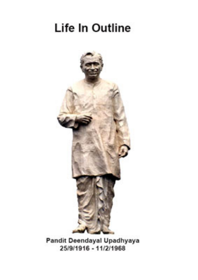## Life In Outline



Pandit Deendayal Upadhyaya 25/9/1916 - 11/2/1968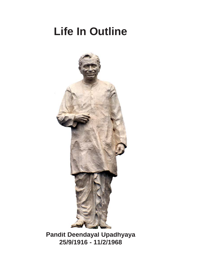## **Life In Outline**



**Pandit Deendayal Upadhyaya 25/9/1916 - 11/2/1968**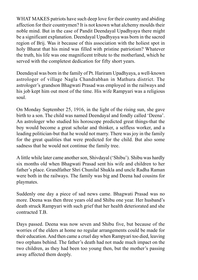WHAT MAKES patriots have such deep love for their country and abiding affection for their countrymen? It is not known what alchemy moulds their noble mind. But in the case of Pandit Deendayal Upadhyaya there might be a significant explanation. Deendayal Upadhyaya was born in the sacred region of Brij. Was it because of this association with the holiest spot in holy Bharat that his mind was filled with pristine patriotism? Whatever the truth, his life was one magnificent tribute to the motherland, which he served with the completest dedication for fifty short years.

Deendayal was born in the family of Pt. Hariram Upadhyaya, a well-known astrologer of village Nagla Chandrabhan in Mathura district. The astrologer's grandson Bhagwati Prasad was employed in the railways and his job kept him out most of the time. His wife Rampyari was a religious soul.

On Monday September 25, 1916, in the light of the rising sun, she gave birth to a son. The child was named Deendayal and fondly called 'Deena'. An astrologer who studied his horoscope predicted great things-that the boy would become a great scholar and thinker, a selfless worker, and a leading politician-but that he would not marry. There was joy in the family for the great qualities that were predicted for the child. But also some sadness that he would not continue the family tree.

A little while later came another son, Shivdayal ('Shibu'). Shibu was hardly six months old when Bhagwati Prasad sent his wife and children to her father's place. Grandfather Shri Chunilal Shukla and uncle Radha Raman were both in the railways. The family was big and Deena had cousins for playmates.

Suddenly one day a piece of sad news came. Bhagwati Prasad was no more. Deena was then three years old and Shibu one year. Her husband's death struck Rampyari with such grief that her health deteriorated and she contracted T.B.

Days passed. Deena was now seven and Shibu five, but because of the worries of the elders at home no regular arrangements could be made for their education. And then came a cruel day when Rampyari too died, leaving two orphans behind. The father's death had not made much impact on the two children, as they had been too young then, but the mother's passing away affected them deeply.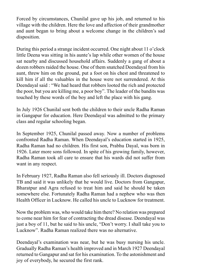Forced by circumstances, Chunilal gave up his job, and returned to his village with the children. Here the love and affection of their grandmother and aunt began to bring about a welcome change in the children's sad disposition.

During this period a strange incident occurred. One night about 11 o'clock little Deena was sitting in his aunte's lap while other women of the house sat nearby and discussed household affairs. Suddenly a gang of about a dozen robbers raided the house. One of them snatched Deendayal from his aunt, threw him on the ground, put a foot on his chest and threatened to kill him if all the valuables in the house were not surrendered. At this Deendayal said : "We had heard that robbers looted the rich and protected the poor, but you are killing me, a poor boy". The leader of the bandits was touched by these words of the boy and left the place with his gang.

In July 1926 Chunilal sent both the children to their uncle Radha Raman in Gangapur for education. Here Deendayal was admitted to the primary class and regular schooling began.

In September 1925, Chunilal passed away. Now a number of problems confronted Radha Raman. When Deendayal's education started in 1925, Radha Raman had no children. His first son, Prabhu Dayal, was born in 1926. Later more sons followed. In spite of his growing family, however, Radha Raman took all care to ensure that his wards did not suffer from want in any respect.

In February 1927, Radha Raman also fell seriously ill. Doctors diagnosed TB and said it was unlikely that he would live. Doctors from Gangapur, Bharatpur and Agra refused to treat him and said he should be taken somewhere else. Fortunately Radha Raman had a nephew who was then Health Officer in Lucknow. He called his uncle to Lucknow for treatment.

Now the problem was, who would take him there? No relation was prepared to come near him for fear of contracting the dread disease. Deendayal was just a boy of 11, but he said to his uncle, "Don't worry. I shall take you to Lucknow". Radha Raman realized there was no alternative.

Deendayal's examination was near, but he was busy nursing his uncle. Gradually Radha Raman's health improved and in March 1927 Deendayal returned to Gangapur and sat for his examination. To the astonishment and joy of everybody, he secured the first rank.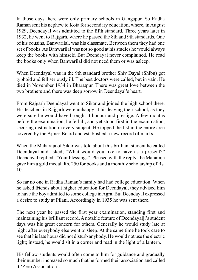In those days there were only primary schools in Gangapur. So Radha Raman sent his nephew to Kota for secondary education, where, in August 1929, Deendayal was admitted to the fifth standard. Three years later in 1932, he went to Rajgarh, where he passed the 8th and 9th standards. One of his cousins, Banwarilal, was his classmate. Between them they had one set of books. As Banwarilal was not so good at his studies he would always keep the books with himself. But Deendayal never complained. He read the books only when Banwarilal did not need them or was asleep.

When Deendayal was in the 9th standard brother Shiv Dayal (Shibu) got typhoid and fell seriously ill. The best doctors were called, but in vain. He died in November 1934 in Bharatpur. There was great love between the two brothers and there was deep sorrow in Deendayal's heart.

From Rajgarh Deendayal went to Sikar and joined the high school there. His teachers in Rajgarh were unhappy at his leaving their school, as they were sure he would have brought it honour and prestige. A few months before the examination, he fell ill, and yet stood first in the examination, securing distinction in every subject. He topped the list in the entire area covered by the Ajmer Board and established a new record of marks.

When the Maharaja of Sikar was told about this brilliant student he called Deendayal and asked, "What would you like to have as a present?" Deendayal replied, "Your blessings". Pleased with the reply, the Maharaja gave him a gold medal, Rs. 250 for books and a monthly scholarship of Rs. 10.

So far no one in Radha Raman's family had had college education. When he asked friends about higher education for Deendayal, they advised him to have the boy admitted to some college in Agra. But Deendayal expressed a desire to study at Pilani. Accordingly in 1935 he was sent there.

The next year he passed the first year examination, standing first and maintaining his brilliant record. A notable feature of Deendayalji's student days was his great concern for others. Generally he would study late at night after everybody else went to sleep. At the same time he took care to see that his late hours did not disturb anybody. He would not use the electric light; instead, he would sit in a corner and read in the light of a lantern.

His fellow-students would often come to him for guidance and gradually their number increased so much that he formed their association and called it 'Zero Association'.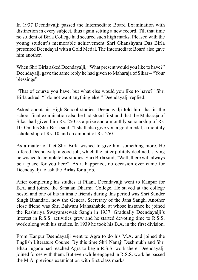In 1937 Deendayalji passed the Intermediate Board Examination with distinction in every subject, thus again setting a new record. Till that time no student of Birla College had secured such high marks. Pleased with the young student's memorable achievement Shri Ghanshyam Das Birla presented Deendayal with a Gold Medal. The Intermediate Board also gave him another.

When Shri Birla asked Deendayalji, "What present would you like to have?" Deendayalji gave the same reply he had given to Maharaja of Sikar – "Your blessings".

"That of course you have, but what else would you like to have?" Shri Birla asked. "I do not want anything else," Deendayalji replied.

Asked about his High School studies, Deendayalji told him that in the school final examination also he had stood first and that the Maharaja of Sikar had given him Rs. 250 as a prize and a monthly scholarship of Rs. 10. On this Shri Birla said, "I shall also give you a gold medal, a monthly scholarship of Rs. 10 and an amount of Rs. 250."

As a matter of fact Shri Birla wished to give him something more. He offered Deendayalji a good job, which the latter politely declined, saying he wished to complete his studies. Shri Birla said, "Well, there will always be a place for you here". As it happened, no occasion ever came for Deendayalji to ask the Birlas for a job.

After completing his studies at Pilani, Deendayalji went to Kanpur for B.A. and joined the Sanatan Dharma College. He stayed at the college hostel and one of his intimate friends during this period was Shri Sunder Singh Bhandari, now the General Secretary of the Jana Sangh. Another close friend was Shri Balwant Mahashabde, at whose instance he joined the Rashtriya Swayamsewak Sangh in 1937. Gradually Deendayalji's interest in R.S.S. activities grew and he started devoting time to R.S.S. work along with his studies. In 1939 he took his B.A. in the first division.

From Kanpur Deendayalji went to Agra to do his M.A. and joined the English Literature Course. By this time Shri Nanaji Deshmukh and Shri Bhau Jugade had reached Agra to begin R.S.S. work there. Deendayalji joined forces with them. But even while engaged in R.S.S. work he passed the M.A. previous examination with first class marks.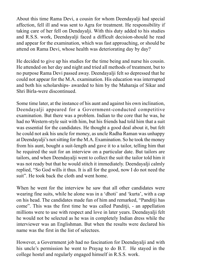About this time Rama Devi, a cousin for whom Deendayalji had special affection, fell ill and was sent to Agra for treatment. He responsibility if taking care of her fell on Dendayalji. With this duty added to his studies and R.S.S. work, Deendayalji faced a difficult decision-should he read and appear for the examination, which was fast approaching, or should be attend on Rama Devi, whose health was deteriorating day by day?

He decided to give up his studies for the time being and nurse his cousin. He attended on her day and night and tried all methods of treatment, but to no purpose Rama Devi passed away. Deendayalji felt so depressed that he could not appear for the M.A. examination. His education was interrupted and both his scholarships- awarded to him by the Maharaja of Sikar and Shri Birla-were discontinued.

Some time later, at the instance of his aunt and against his own inclination, Deendayalji appeared for a Government-conducted competitive examination. But there was a problem. Indian to the core that he was, he had no Western-style suit with him, but his friends had told him that a suit was essential for the candidates. He thought a good deal about it, but felt he could not ask his uncle for money, as uncle Radha Raman was unhappy at Deendayalji's not sitting for the M.A. Examination. So he took the money from his aunt, bought a suit-length and gave it to a tailor, telling him that he required the suit for an interview on a particular date. But tailors are tailors, and when Deendayalji went to collect the suit the tailor told him it was not ready but that he would stitch it immediately. Deendayalji calmly replied, "So God wills it thus. It is all for the good, now I do not need the suit". He took back the cloth and went home.

When he went for the interview he saw that all other candidates were wearing fine suits, while he alone was in a 'dhoti' and 'kurta', with a cap on his head. The candidates made fun of him and remarked, "Panditji has come". This was the first time he was called Panditji, - an appellation millions were to use with respect and love in later years. Deendayalji felt he would not be selected as he was in completely Indian dress while the interviewer was an Englishman. But when the results were declared his name was the first in the list of selectees.

However, a Government job had no fascination for Deendayalji and with his uncle's permission he went to Prayag to do B.T. He stayed in the college hostel and regularly engaged himself in R.S.S. work.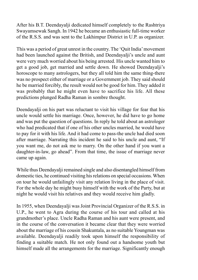After his B.T. Deendayalji dedicated himself completely to the Rashtriya Swayamsewak Sangh. In 1942 he became an enthusiastic full-time worker of the R.S.S. and was sent to the Lakhimpur District in U.P. as organizer.

This was a period of great unrest in the country. The 'Quit India' movement had been launched against the British, and Deendayalji's uncle and aunt were very much worried about his being arrested. His uncle wanted him to get a good job, get married and settle down. He showed Deendayalji's horoscope to many astrologers, but they all told him the same thing-there was no prospect either of marriage or a Government job. They said should he be married forcibly, the result would not be good for him. They added it was probably that he might even have to sacrifice his life. All these predictions plunged Radha Raman in sombre thought.

Deendayalji on his part was reluctant to visit his village for fear that his uncle would settle his marriage. Once, however, he did have to go home and was put the question of questions. In reply he told about an astrologer who had predicated that if one of his other uncles married, he would have to pay for it with his life. And it had come to pass-the uncle had died soon after marriage. Narrating this incident he said to his uncle and aunt, "If you want me, do not ask me to marry. On the other hand if you want a daughter-in-law, go ahead". From that time, the issue of marriage never came up again.

While thus Deendayalji remained single and also disentangled himself from domestic ties, he continued visiting his relations on special occasions. When on tour he would unfailingly visit any relation living in the place of visit. For the whole day he might busy himself with the work of the Party, but at night he would visit his relatives and they would receive him gladly.

In 1955, when Deendayalji was Joint Provincial Organizer of the R.S.S. in U.P., he went to Agra during the course of his tour and called at his grandmother's place. Uncle Radha Raman and his aunt were present, and in the course of the conversation it became clear that they were worried about the marriage of his cousin Shakuntala, as no suitable Youngman was available. Deendayalji readily took upon himself the responsibility of finding a suitable match. He not only found out a handsome youth but himself made all the arrangements for the marriage. Significantly enough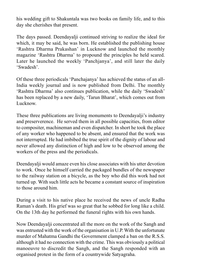his wedding gift to Shakuntala was two books on family life, and to this day she cherishes that present.

The days passed. Deendayalji continued striving to realize the ideal for which, it may be said, he was born. He established the publishing house 'Rashtra Dharma Prakashan' in Lucknow and launched the monthly magazine 'Rashtra Dharma' to propound the principles he held scared. Later he launched the weekly 'Panchjanya', and still later the daily 'Swadesh'.

Of these three periodicals 'Panchajanya' has achieved the status of an all-India weekly journal and is now published from Delhi. The monthly 'Rashtra Dharma' also continues publication, while the daily 'Swadesh' has been replaced by a new daily, 'Tarun Bharat', which comes out from Lucknow.

These three publications are living monuments to Deendayalji's industry and preserverence. He served them in all possible capacities, from editor to compositer, machineman and even dispatcher. In short he took the place of any worker who happened to be absent, and ensured that the work was not interrupted. He had imbibed the true spirit of the dignity of labour and never allowed any distinction of high and low to be observed among the workers of the press and the periodicals.

Deendayalji would amaze even his close associates with his utter devotion to work. Once he himself carried the packaged bundles of the newspaper to the railway station on a bicycle, as the boy who did this work had not turned up. With such little acts he became a constant source of inspiration to those around him.

During a visit to his native place he received the news of uncle Radha Raman's death. His grief was so great that he sobbed for long like a child. On the 13th day he performed the funeral rights with his own hands.

Now Deendayalji concentrated all the more on the work of the Sangh and was entrusted with the work of the organisation in U.P. With the unfortunate murder of Mahatma Gandhi the Government clamped a ban on the R.S.S. although it had no connection with the crime. This was obviously a political manoeuvre to discredit the Sangh, and the Sangh responded with an organised protest in the form of a countrywide Satyagraha.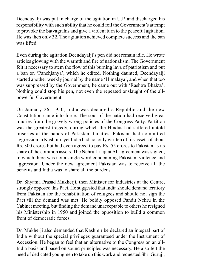Deendayalji was put in charge of the agitation in U.P. and discharged his responsibility with such ability that he could foil the Government's attempt to provoke the Satyagrahis and give a violent turn to the peaceful agitation. He was then only 32. The agitation achieved complete success and the ban was lifted.

Even during the agitation Deendayalji's pen did not remain idle. He wrote articles glowing with the warmth and fire of nationalism. The Government felt it necessary to stem the flow of this burning lava of patriotism and put a ban on 'Panchjanya', which he edited. Nothing daunted, Deendayalji started another weekly journal by the name 'Himalaya', and when that too was suppressed by the Government, he came out with 'Rashtra Bhakta'. Nothing could stop his pen, not even the repeated onslaught of the allpowerful Government.

On January 26, 1950, India was declared a Republic and the new Constitution came into force. The soul of the nation had received great injuries from the gravely wrong policies of the Congress Party. Partition was the greatest tragedy, during which the Hindus had suffered untold miseries at the hands of Pakistani fanatics. Pakistan had committed aggression in Kashmir, yet India had not only written off its assets of about Rs. 300 crores but had even agreed to pay Rs. 55 crores to Pakistan as its share of the common assets. The Nehru-Liaquat Ali agreement was signed, in which there was not a single word condemning Pakistani violence and aggression. Under the new agreement Pakistan was to receive all the benefits and India was to share all the burdens.

Dr. Shyama Prasad Mukherji, then Minister for Industries at the Centre, strongly opposed this Pact. He suggested that India should demand territory from Pakistan for the rehabilitation of refugees and should not sign the Pact till the demand was met. He boldly opposed Pandit Nehru in the Cabinet meeting, but finding the demand unacceptable to others he resigned his Ministership in 1950 and joined the opposition to build a common front of democratic forces.

Dr. Mukherji also demanded that Kashmir be declared an integral part of India without the special privileges guaranteed under the Instrument of Accession. He began to feel that an alternative to the Congress on an all-India basis and based on sound principles was necessary. He also felt the need of dedicated youngmen to take up this work and requested Shri Guruji,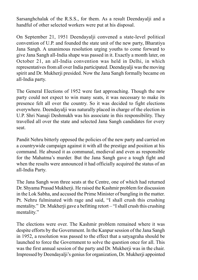Sarsanghchalak of the R.S.S., for them. As a result Deendayalji and a handful of other selected workers were put at his disposal.

On September 21, 1951 Deendayalji convened a state-level political convention of U.P. and founded the state unit of the new party, Bharatiya Jana Sangh. A unanimous resolution urging youths to come forward to give Jana Sangh all-India shape was passed in it. Exactly a month later, on October 21, an all-India convention was held in Delhi, in which representatives from all over India participated. Deendayalji was the moving spirit and Dr. Mukherji presided. Now the Jana Sangh formally became on all-India party.

The General Elections of 1952 were fast approaching. Though the new party could not expect to win many seats, it was necessary to make its presence felt all over the country. So it was decided to fight elections everywhere. Deendayalji was naturally placed in charge of the election in U.P. Shri Nanaji Deshmukh was his associate in this responsibility. They travelled all over the state and selected Jana Sangh candidates for every seat.

Pandit Nehru bitterly opposed the policies of the new party and carried on a countrywide campaign against it with all the prestige and position at his command. He abused it as communal, medieval and even as responsible for the Mahatma's murder. But the Jana Sangh gave a tough fight and when the results were announced it had officially acquired the status of an all-India Party.

The Jana Sangh won three seats at the Centre, one of which had returned Dr. Shyama Prasad Mukherji. He raised the Kashmir problem for discussion in the Lok Sabha, and accused the Prime Minister of bungling in the matter. Pt. Nehru fulminated with rage and said, "I shall crush this crushing mentality." Dr. Mukherji gave a befitting retort – "I shall crush this crushing mentality."

The elections were over. The Kashmir problem remained where it was despite efforts by the Government. In the Kanpur session of the Jana Sangh in 1952, a resolution was passed to the effect that a satyagraha should be launched to force the Government to solve the question once for all. This was the first annual session of the party and Dr. Mukherji was in the chair. Impressed by Deendayalji's genius for organization, Dr. Mukherji appointed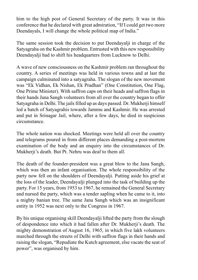him to the high post of General Secretary of the party. It was in this conference that he declared with great admiration, "If I could get two more Deendayals, I will change the whole political map of India."

The same session took the decision to put Deendayalji in charge of the Satyagraha on the Kashmir problem. Entrusted with this new responsibility Deendayalji had to shift his headquarters from Lucknow to Delhi.

A wave of new consciousness on the Kashmir problem ran throughout the country. A series of meetings was held in various towns and at last the campaign culminated into a satyagraha. The slogan of the new movement was "Ek Vidhan, Ek Nishan, Ek Pradhan" (One Constitution, One Flag, One Prime Minister). With saffron caps on their heads and saffron flags in their hands Jana Sangh volunteers from all over the country began to offer Satyagraha in Delhi. The jails filled up as days passed. Dr. Mukherji himself led a batch of Satyagrahis towards Jammu and Kashmir. He was arrested and put in Srinagar Jail, where, after a few days, he died in suspicious circumstance.

The whole nation was shocked. Meetings were held all over the country and telegrams poured in from different places demanding a post-mortem examination of the body and an enquiry into the circumstances of Dr. Mukherji's death. But Pt. Nehru was deaf to them all.

The death of the founder-president was a great blow to the Jana Sangh, which was then an infant organisation. The whole responsibility of the party now fell on the shoulders of Deendayalji. Putting aside his grief at the loss of the leader, Deendayalji plunged into the task of building up the party. For 15 years, from 1953 to 1967, he remained the General Secretary and nursed the party, which was a tender sapling when he came to it, into a mighty banian tree. The same Jana Sangh which was an insignificant entity in 1952 was next only to the Congress in 1967.

By his unique organising skill Deendayalji lifted the party from the slough of despondence into which it had fallen after Dr. Mukherji's death. The mighty demonstration of August 16, 1965, in which five lakh volunteers marched through the streets of Delhi with saffron flags in their hands and raising the slogan, "Repudiate the Kutch agreement, else vacate the seat of power", was organised by him.